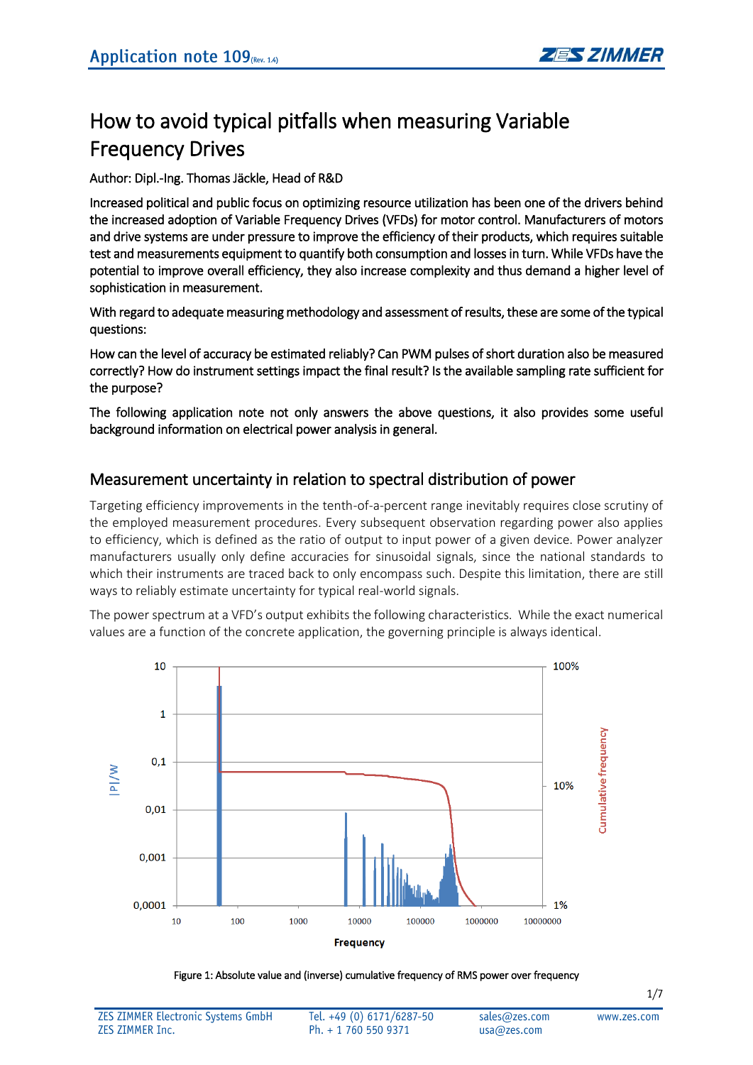# How to avoid typical pitfalls when measuring Variable Frequency Drives

#### Author: Dipl.-Ing. Thomas Jäckle, Head of R&D

Increased political and public focus on optimizing resource utilization has been one of the drivers behind the increased adoption of Variable Frequency Drives (VFDs) for motor control. Manufacturers of motors and drive systems are under pressure to improve the efficiency of their products, which requires suitable test and measurements equipment to quantify both consumption and losses in turn. While VFDs have the potential to improve overall efficiency, they also increase complexity and thus demand a higher level of sophistication in measurement.

With regard to adequate measuring methodology and assessment of results, these are some of the typical questions:

How can the level of accuracy be estimated reliably? Can PWM pulses of short duration also be measured correctly? How do instrument settings impact the final result? Is the available sampling rate sufficient for the purpose?

The following application note not only answers the above questions, it also provides some useful background information on electrical power analysis in general.

### Measurement uncertainty in relation to spectral distribution of power

Targeting efficiency improvements in the tenth-of-a-percent range inevitably requires close scrutiny of the employed measurement procedures. Every subsequent observation regarding power also applies to efficiency, which is defined as the ratio of output to input power of a given device. Power analyzer manufacturers usually only define accuracies for sinusoidal signals, since the national standards to which their instruments are traced back to only encompass such. Despite this limitation, there are still ways to reliably estimate uncertainty for typical real-world signals.

The power spectrum at a VFD's output exhibits the following characteristics. While the exact numerical values are a function of the concrete application, the governing principle is always identical.



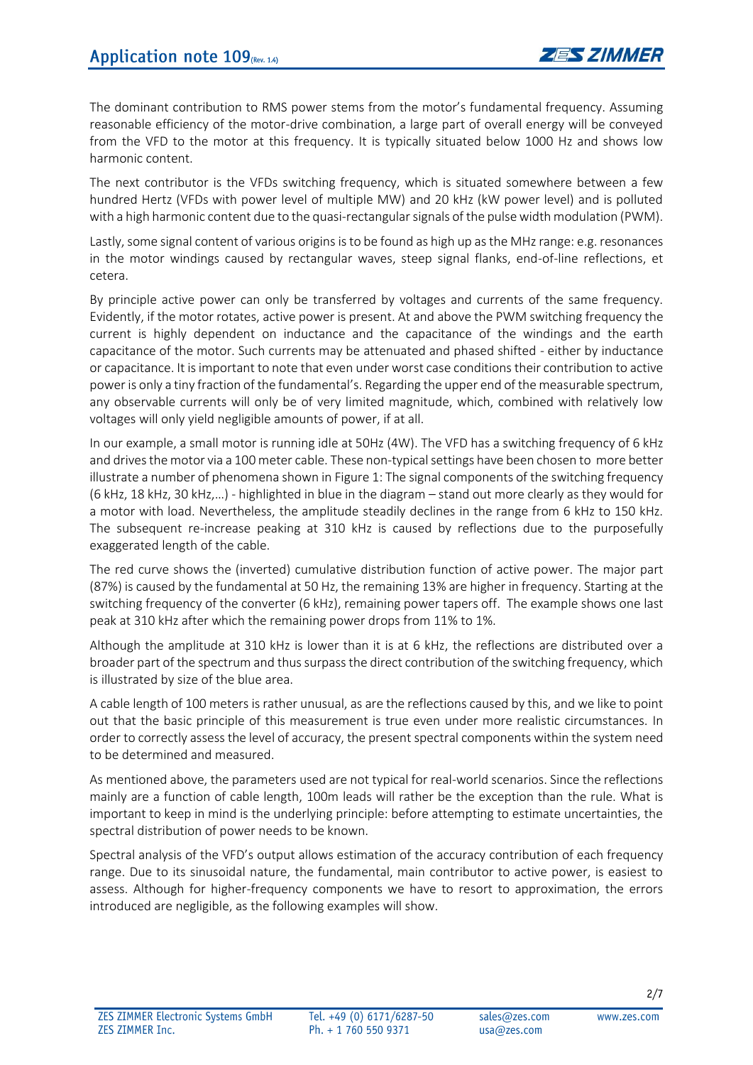The dominant contribution to RMS power stems from the motor's fundamental frequency. Assuming reasonable efficiency of the motor-drive combination, a large part of overall energy will be conveyed from the VFD to the motor at this frequency. It is typically situated below 1000 Hz and shows low harmonic content.

The next contributor is the VFDs switching frequency, which is situated somewhere between a few hundred Hertz (VFDs with power level of multiple MW) and 20 kHz (kW power level) and is polluted with a high harmonic content due to the quasi-rectangular signals of the pulse width modulation (PWM).

Lastly, some signal content of various origins is to be found as high up as the MHz range: e.g. resonances in the motor windings caused by rectangular waves, steep signal flanks, end-of-line reflections, et cetera.

By principle active power can only be transferred by voltages and currents of the same frequency. Evidently, if the motor rotates, active power is present. At and above the PWM switching frequency the current is highly dependent on inductance and the capacitance of the windings and the earth capacitance of the motor. Such currents may be attenuated and phased shifted - either by inductance or capacitance. It is important to note that even under worst case conditions their contribution to active power is only a tiny fraction of the fundamental's. Regarding the upper end of the measurable spectrum, any observable currents will only be of very limited magnitude, which, combined with relatively low voltages will only yield negligible amounts of power, if at all.

In our example, a small motor is running idle at 50Hz (4W). The VFD has a switching frequency of 6 kHz and drives the motor via a 100 meter cable. These non-typical settings have been chosen to more better illustrate a number of phenomena shown in Figure 1: The signal components of the switching frequency (6 kHz, 18 kHz, 30 kHz,…) - highlighted in blue in the diagram – stand out more clearly as they would for a motor with load. Nevertheless, the amplitude steadily declines in the range from 6 kHz to 150 kHz. The subsequent re-increase peaking at 310 kHz is caused by reflections due to the purposefully exaggerated length of the cable.

The red curve shows the (inverted) cumulative distribution function of active power. The major part (87%) is caused by the fundamental at 50 Hz, the remaining 13% are higher in frequency. Starting at the switching frequency of the converter (6 kHz), remaining power tapers off. The example shows one last peak at 310 kHz after which the remaining power drops from 11% to 1%.

Although the amplitude at 310 kHz is lower than it is at 6 kHz, the reflections are distributed over a broader part of the spectrum and thus surpass the direct contribution of the switching frequency, which is illustrated by size of the blue area.

A cable length of 100 meters is rather unusual, as are the reflections caused by this, and we like to point out that the basic principle of this measurement is true even under more realistic circumstances. In order to correctly assess the level of accuracy, the present spectral components within the system need to be determined and measured.

As mentioned above, the parameters used are not typical for real-world scenarios. Since the reflections mainly are a function of cable length, 100m leads will rather be the exception than the rule. What is important to keep in mind is the underlying principle: before attempting to estimate uncertainties, the spectral distribution of power needs to be known.

Spectral analysis of the VFD's output allows estimation of the accuracy contribution of each frequency range. Due to its sinusoidal nature, the fundamental, main contributor to active power, is easiest to assess. Although for higher-frequency components we have to resort to approximation, the errors introduced are negligible, as the following examples will show.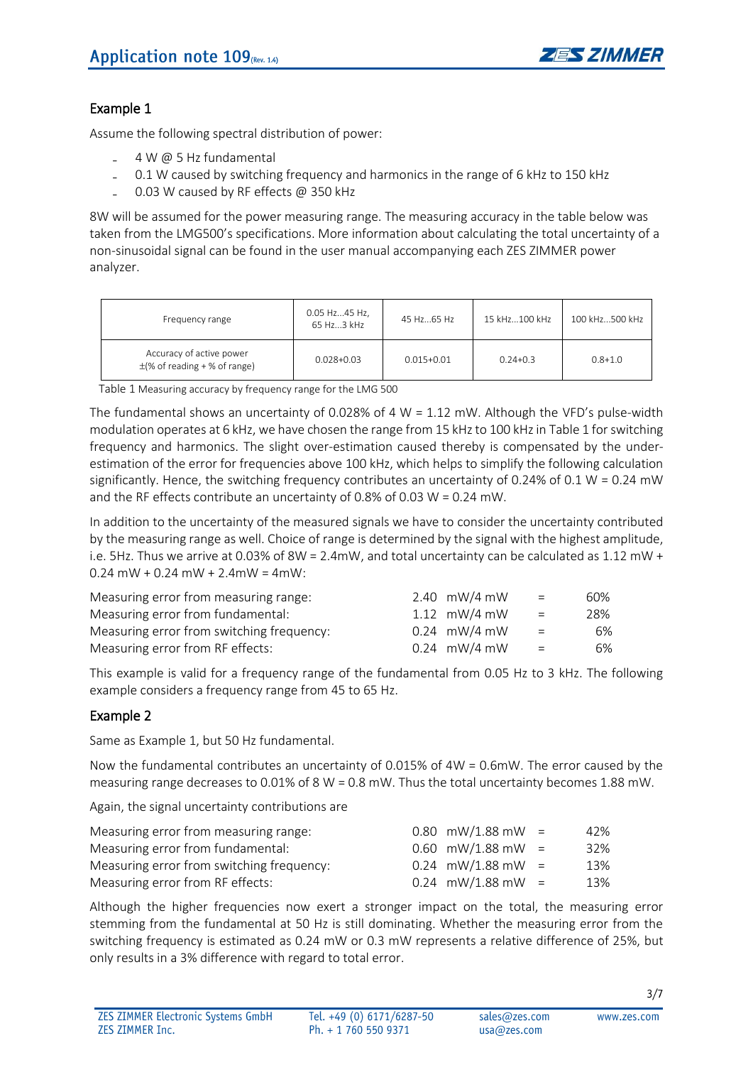

#### Example 1

Assume the following spectral distribution of power:

- ₋ 4 W @ 5 Hz fundamental
- ₋ 0.1 W caused by switching frequency and harmonics in the range of 6 kHz to 150 kHz
- 0.03 W caused by RF effects @ 350 kHz

8W will be assumed for the power measuring range. The measuring accuracy in the table below was taken from the LMG500's specifications. More information about calculating the total uncertainty of a non-sinusoidal signal can be found in the user manual accompanying each ZES ZIMMER power analyzer.

| Frequency range                                               | 0.05 Hz45 Hz,<br>65 Hz3 kHz | 45 Hz65 Hz     | 15 kHz100 kHz | 100 kHz500 kHz |
|---------------------------------------------------------------|-----------------------------|----------------|---------------|----------------|
| Accuracy of active power<br>$\pm$ (% of reading + % of range) | $0.028 + 0.03$              | $0.015 + 0.01$ | $0.24 + 0.3$  | $0.8 + 1.0$    |

Table 1 Measuring accuracy by frequency range for the LMG 500

The fundamental shows an uncertainty of 0.028% of 4 W = 1.12 mW. Although the VFD's pulse-width modulation operates at 6 kHz, we have chosen the range from 15 kHz to 100 kHz in Table 1 for switching frequency and harmonics. The slight over-estimation caused thereby is compensated by the underestimation of the error for frequencies above 100 kHz, which helps to simplify the following calculation significantly. Hence, the switching frequency contributes an uncertainty of 0.24% of 0.1 W = 0.24 mW and the RF effects contribute an uncertainty of 0.8% of 0.03 W = 0.24 mW.

In addition to the uncertainty of the measured signals we have to consider the uncertainty contributed by the measuring range as well. Choice of range is determined by the signal with the highest amplitude, i.e. 5Hz. Thus we arrive at 0.03% of 8W = 2.4mW, and total uncertainty can be calculated as 1.12 mW +  $0.24$  mW + 0.24 mW + 2.4 mW = 4 mW:

| Measuring error from measuring range:     | 2.40 $\text{mW/4 mW}$ | $=$      | 60% |
|-------------------------------------------|-----------------------|----------|-----|
| Measuring error from fundamental:         | 1.12 $\text{mW/4 mW}$ | $=$      | 28% |
| Measuring error from switching frequency: | $0.24$ mW/4 mW        | $=$      | 6%  |
| Measuring error from RF effects:          | $0.24$ mW/4 mW        | $\equiv$ | 6%  |

This example is valid for a frequency range of the fundamental from 0.05 Hz to 3 kHz. The following example considers a frequency range from 45 to 65 Hz.

#### Example 2

Same as Example 1, but 50 Hz fundamental.

Now the fundamental contributes an uncertainty of 0.015% of 4W = 0.6mW. The error caused by the measuring range decreases to 0.01% of 8 W = 0.8 mW. Thus the total uncertainty becomes 1.88 mW.

Again, the signal uncertainty contributions are

| Measuring error from measuring range:     | $0.80$ mW/1.88 mW = | 42% |
|-------------------------------------------|---------------------|-----|
| Measuring error from fundamental:         | $0.60$ mW/1.88 mW = | 32% |
| Measuring error from switching frequency: | $0.24$ mW/1.88 mW = | 13% |
| Measuring error from RF effects:          | $0.24$ mW/1.88 mW = | 13% |

Although the higher frequencies now exert a stronger impact on the total, the measuring error stemming from the fundamental at 50 Hz is still dominating. Whether the measuring error from the switching frequency is estimated as 0.24 mW or 0.3 mW represents a relative difference of 25%, but only results in a 3% difference with regard to total error.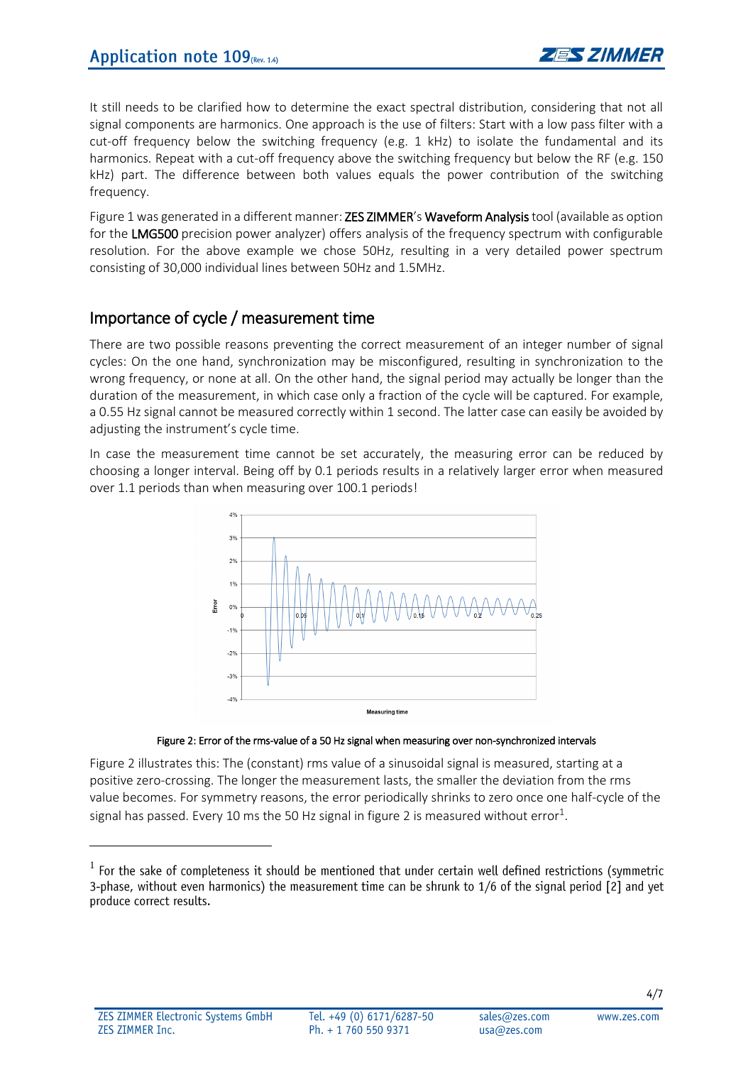It still needs to be clarified how to determine the exact spectral distribution, considering that not all signal components are harmonics. One approach is the use of filters: Start with a low pass filter with a cut-off frequency below the switching frequency (e.g. 1 kHz) to isolate the fundamental and its harmonics. Repeat with a cut-off frequency above the switching frequency but below the RF (e.g. 150 kHz) part. The difference between both values equals the power contribution of the switching frequency.

Figure 1 was generated in a different manner: **ZES ZIMMER's Waveform Analysis** tool (available as option for the LMG500 precision power analyzer) offers analysis of the frequency spectrum with configurable resolution. For the above example we chose 50Hz, resulting in a very detailed power spectrum consisting of 30,000 individual lines between 50Hz and 1.5MHz.

## Importance of cycle / measurement time

There are two possible reasons preventing the correct measurement of an integer number of signal cycles: On the one hand, synchronization may be misconfigured, resulting in synchronization to the wrong frequency, or none at all. On the other hand, the signal period may actually be longer than the duration of the measurement, in which case only a fraction of the cycle will be captured. For example, a 0.55 Hz signal cannot be measured correctly within 1 second. The latter case can easily be avoided by adjusting the instrument's cycle time.

In case the measurement time cannot be set accurately, the measuring error can be reduced by choosing a longer interval. Being off by 0.1 periods results in a relatively larger error when measured over 1.1 periods than when measuring over 100.1 periods!





Figure 2 illustrates this: The (constant) rms value of a sinusoidal signal is measured, starting at a positive zero-crossing. The longer the measurement lasts, the smaller the deviation from the rms value becomes. For symmetry reasons, the error periodically shrinks to zero once one half-cycle of the signal has passed. Every 10 ms the 50 Hz signal in figure 2 is measured without error $^1\!$ 

 $\overline{a}$ 

 $1$  For the sake of completeness it should be mentioned that under certain well defined restrictions (symmetric 3-phase, without even harmonics) the measurement time can be shrunk to 1/6 of the signal period [2] and yet produce correct results.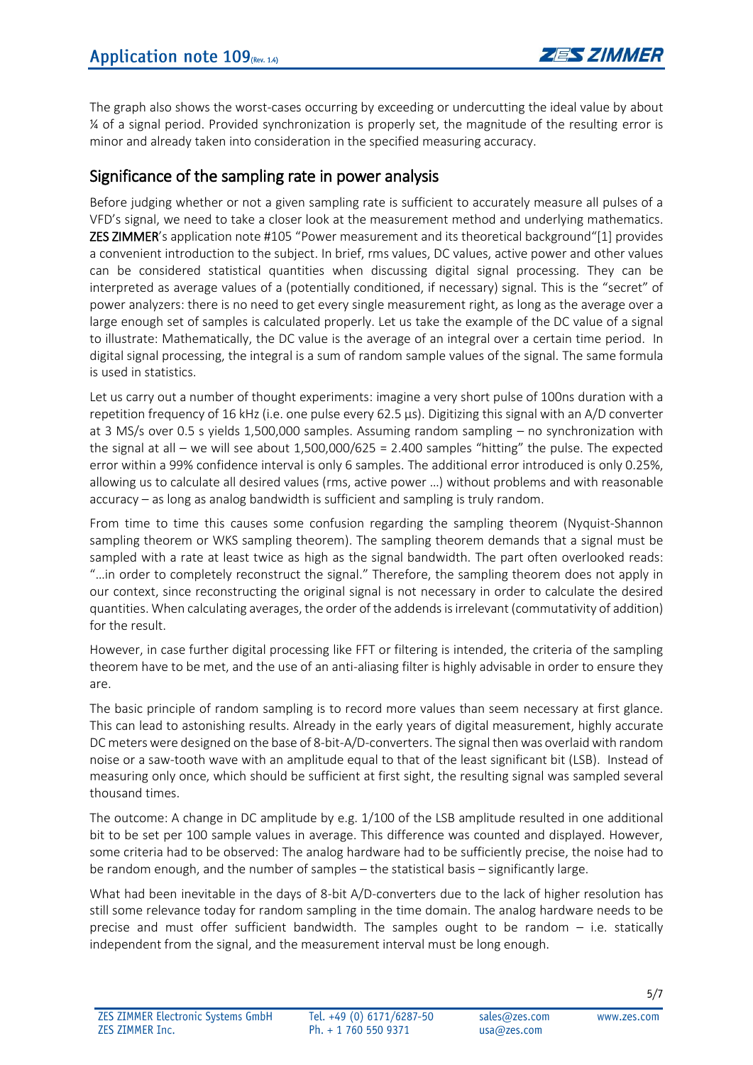The graph also shows the worst-cases occurring by exceeding or undercutting the ideal value by about ¼ of a signal period. Provided synchronization is properly set, the magnitude of the resulting error is minor and already taken into consideration in the specified measuring accuracy.

# Significance of the sampling rate in power analysis

Before judging whether or not a given sampling rate is sufficient to accurately measure all pulses of a VFD's signal, we need to take a closer look at the measurement method and underlying mathematics. ZES ZIMMER's application note #105 "Power measurement and its theoretical background"[1] provides a convenient introduction to the subject. In brief, rms values, DC values, active power and other values can be considered statistical quantities when discussing digital signal processing. They can be interpreted as average values of a (potentially conditioned, if necessary) signal. This is the "secret" of power analyzers: there is no need to get every single measurement right, as long as the average over a large enough set of samples is calculated properly. Let us take the example of the DC value of a signal to illustrate: Mathematically, the DC value is the average of an integral over a certain time period. In digital signal processing, the integral is a sum of random sample values of the signal. The same formula is used in statistics.

Let us carry out a number of thought experiments: imagine a very short pulse of 100ns duration with a repetition frequency of 16 kHz (i.e. one pulse every 62.5 µs). Digitizing this signal with an A/D converter at 3 MS/s over 0.5 s yields 1,500,000 samples. Assuming random sampling – no synchronization with the signal at all – we will see about 1,500,000/625 = 2.400 samples "hitting" the pulse. The expected error within a 99% confidence interval is only 6 samples. The additional error introduced is only 0.25%, allowing us to calculate all desired values (rms, active power …) without problems and with reasonable accuracy – as long as analog bandwidth is sufficient and sampling is truly random.

From time to time this causes some confusion regarding the sampling theorem (Nyquist-Shannon sampling theorem or WKS sampling theorem). The sampling theorem demands that a signal must be sampled with a rate at least twice as high as the signal bandwidth. The part often overlooked reads: "…in order to completely reconstruct the signal." Therefore, the sampling theorem does not apply in our context, since reconstructing the original signal is not necessary in order to calculate the desired quantities. When calculating averages, the order of the addendsis irrelevant (commutativity of addition) for the result.

However, in case further digital processing like FFT or filtering is intended, the criteria of the sampling theorem have to be met, and the use of an anti-aliasing filter is highly advisable in order to ensure they are.

The basic principle of random sampling is to record more values than seem necessary at first glance. This can lead to astonishing results. Already in the early years of digital measurement, highly accurate DC meters were designed on the base of 8-bit-A/D-converters. The signal then was overlaid with random noise or a saw-tooth wave with an amplitude equal to that of the least significant bit (LSB). Instead of measuring only once, which should be sufficient at first sight, the resulting signal was sampled several thousand times.

The outcome: A change in DC amplitude by e.g. 1/100 of the LSB amplitude resulted in one additional bit to be set per 100 sample values in average. This difference was counted and displayed. However, some criteria had to be observed: The analog hardware had to be sufficiently precise, the noise had to be random enough, and the number of samples – the statistical basis – significantly large.

What had been inevitable in the days of 8-bit A/D-converters due to the lack of higher resolution has still some relevance today for random sampling in the time domain. The analog hardware needs to be precise and must offer sufficient bandwidth. The samples ought to be random – i.e. statically independent from the signal, and the measurement interval must be long enough.

WWW 7AS COM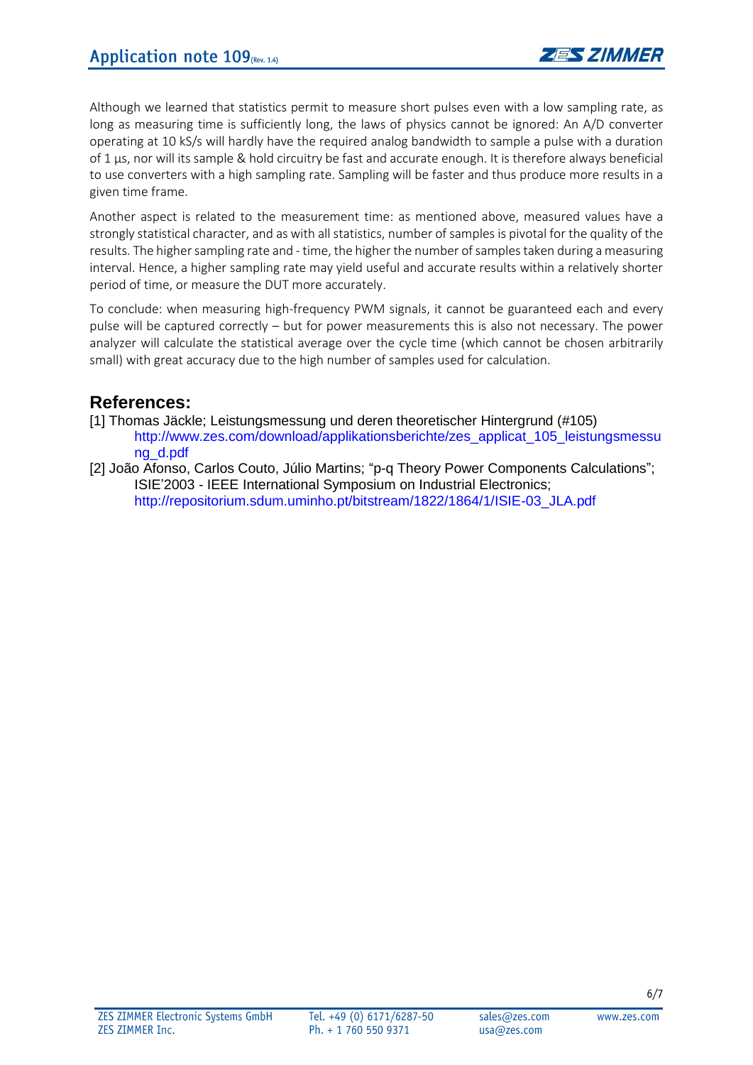Although we learned that statistics permit to measure short pulses even with a low sampling rate, as long as measuring time is sufficiently long, the laws of physics cannot be ignored: An A/D converter operating at 10 kS/s will hardly have the required analog bandwidth to sample a pulse with a duration of 1 µs, nor will its sample & hold circuitry be fast and accurate enough. It is therefore always beneficial to use converters with a high sampling rate. Sampling will be faster and thus produce more results in a given time frame.

Another aspect is related to the measurement time: as mentioned above, measured values have a strongly statistical character, and as with all statistics, number of samples is pivotal for the quality of the results. The higher sampling rate and - time, the higher the number of samples taken during a measuring interval. Hence, a higher sampling rate may yield useful and accurate results within a relatively shorter period of time, or measure the DUT more accurately.

To conclude: when measuring high-frequency PWM signals, it cannot be guaranteed each and every pulse will be captured correctly – but for power measurements this is also not necessary. The power analyzer will calculate the statistical average over the cycle time (which cannot be chosen arbitrarily small) with great accuracy due to the high number of samples used for calculation.

# **References:**

- [1] Thomas Jäckle; Leistungsmessung und deren theoretischer Hintergrund (#105) http://www.zes.com/download/applikationsberichte/zes\_applicat\_105\_leistungsmessu ng\_d.pdf
- [2] João Afonso, Carlos Couto, Júlio Martins; "p-q Theory Power Components Calculations"; ISIE'2003 - IEEE International Symposium on Industrial Electronics; http://repositorium.sdum.uminho.pt/bitstream/1822/1864/1/ISIE-03\_JLA.pdf